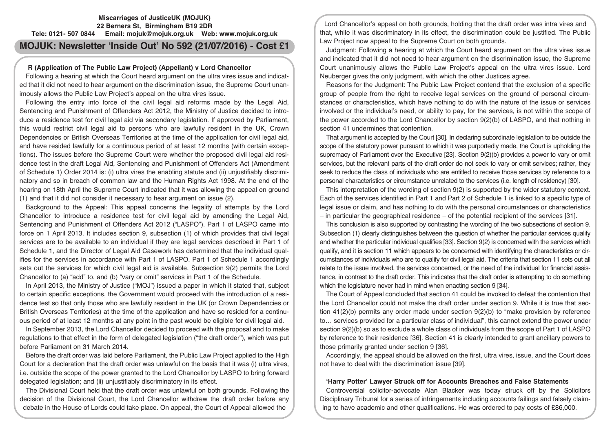# **Miscarriages of JusticeUK (MOJUK) 22 Berners St, Birmingham B19 2DR Tele: 0121- 507 0844 Email: mojuk@mojuk.org.uk Web: www.mojuk.org.uk**

# **MOJUK: Newsletter 'Inside Out' No 592 (21/07/2016) - Cost £1**

# **R (Application of The Public Law Project) (Appellant) v Lord Chancellor**

Following a hearing at which the Court heard argument on the ultra vires issue and indicated that it did not need to hear argument on the discrimination issue, the Supreme Court unanimously allows the Public Law Project's appeal on the ultra vires issue.

Following the entry into force of the civil legal aid reforms made by the Legal Aid, Sentencing and Punishment of Offenders Act 2012, the Ministry of Justice decided to introduce a residence test for civil legal aid via secondary legislation. If approved by Parliament, this would restrict civil legal aid to persons who are lawfully resident in the UK, Crown Dependencies or British Overseas Territories at the time of the application for civil legal aid, and have resided lawfully for a continuous period of at least 12 months (with certain exceptions). The issues before the Supreme Court were whether the proposed civil legal aid residence test in the draft Legal Aid, Sentencing and Punishment of Offenders Act (Amendment of Schedule 1) Order 2014 is: (i) ultra vires the enabling statute and (ii) unjustifiably discriminatory and so in breach of common law and the Human Rights Act 1998. At the end of the hearing on 18th April the Supreme Court indicated that it was allowing the appeal on ground (1) and that it did not consider it necessary to hear argument on issue (2).

Background to the Appeal: This appeal concerns the legality of attempts by the Lord Chancellor to introduce a residence test for civil legal aid by amending the Legal Aid, Sentencing and Punishment of Offenders Act 2012 ("LASPO"). Part 1 of LASPO came into force on 1 April 2013. It includes section 9, subsection (1) of which provides that civil legal services are to be available to an individual if they are legal services described in Part 1 of Schedule 1, and the Director of Legal Aid Casework has determined that the individual qualifies for the services in accordance with Part 1 of LASPO. Part 1 of Schedule 1 accordingly sets out the services for which civil legal aid is available. Subsection 9(2) permits the Lord Chancellor to (a) "add" to, and (b) "vary or omit" services in Part 1 of the Schedule.

In April 2013, the Ministry of Justice ("MOJ") issued a paper in which it stated that, subject to certain specific exceptions, the Government would proceed with the introduction of a residence test so that only those who are lawfully resident in the UK (or Crown Dependencies or British Overseas Territories) at the time of the application and have so resided for a continuous period of at least 12 months at any point in the past would be eligible for civil legal aid.

In September 2013, the Lord Chancellor decided to proceed with the proposal and to make regulations to that effect in the form of delegated legislation ("the draft order"), which was put before Parliament on 31 March 2014.

Before the draft order was laid before Parliament, the Public Law Project applied to the High Court for a declaration that the draft order was unlawful on the basis that it was (i) ultra vires, i.e. outside the scope of the power granted to the Lord Chancellor by LASPO to bring forward delegated legislation; and (ii) unjustifiably discriminatory in its effect.

The Divisional Court held that the draft order was unlawful on both grounds. Following the decision of the Divisional Court, the Lord Chancellor withdrew the draft order before any debate in the House of Lords could take place. On appeal, the Court of Appeal allowed the

Lord Chancellor's appeal on both grounds, holding that the draft order was intra vires and that, while it was discriminatory in its effect, the discrimination could be justified. The Public Law Project now appeal to the Supreme Court on both grounds.

Judgment: Following a hearing at which the Court heard argument on the ultra vires issue and indicated that it did not need to hear argument on the discrimination issue, the Supreme Court unanimously allows the Public Law Project's appeal on the ultra vires issue. Lord Neuberger gives the only judgment, with which the other Justices agree.

Reasons for the Judgment: The Public Law Project contend that the exclusion of a specific group of people from the right to receive legal services on the ground of personal circumstances or characteristics, which have nothing to do with the nature of the issue or services involved or the individual's need, or ability to pay, for the services, is not within the scope of the power accorded to the Lord Chancellor by section 9(2)(b) of LASPO, and that nothing in section 41 undermines that contention.

That argument is accepted by the Court [30]. In declaring subordinate legislation to be outside the scope of the statutory power pursuant to which it was purportedly made, the Court is upholding the supremacy of Parliament over the Executive [23]. Section 9(2)(b) provides a power to vary or omit services, but the relevant parts of the draft order do not seek to vary or omit services; rather, they seek to reduce the class of individuals who are entitled to receive those services by reference to a personal characteristics or circumstance unrelated to the services (i.e. length of residency) [30].

This interpretation of the wording of section 9(2) is supported by the wider statutory context. Each of the services identified in Part 1 and Part 2 of Schedule 1 is linked to a specific type of legal issue or claim, and has nothing to do with the personal circumstances or characteristics – in particular the geographical residence – of the potential recipient of the services [31].

This conclusion is also supported by contrasting the wording of the two subsections of section 9. Subsection (1) clearly distinguishes between the question of whether the particular services qualify and whether the particular individual qualifies [33]. Section 9(2) is concerned with the services which qualify, and it is section 11 which appears to be concerned with identifying the characteristics or circumstances of individuals who are to qualify for civil legal aid. The criteria that section 11 sets out all relate to the issue involved, the services concerned, or the need of the individual for financial assistance, in contrast to the draft order. This indicates that the draft order is attempting to do something which the legislature never had in mind when enacting section 9 [34].

The Court of Appeal concluded that section 41 could be invoked to defeat the contention that the Lord Chancellor could not make the draft order under section 9. While it is true that section  $41(2)(b)$  permits any order made under section  $9(2)(b)$  to "make provision by reference to… services provided for a particular class of individual", this cannot extend the power under section  $9(2)(b)$  so as to exclude a whole class of individuals from the scope of Part 1 of LASPO by reference to their residence [36]. Section 41 is clearly intended to grant ancillary powers to those primarily granted under section 9 [36].

Accordingly, the appeal should be allowed on the first, ultra vires, issue, and the Court does not have to deal with the discrimination issue [39].

### **'Harry Potter' Lawyer Struck off for Accounts Breaches and False Statements**

Controversial solicitor-advocate Alan Blacker was today struck off by the Solicitors Disciplinary Tribunal for a series of infringements including accounts failings and falsely claiming to have academic and other qualifications. He was ordered to pay costs of £86,000.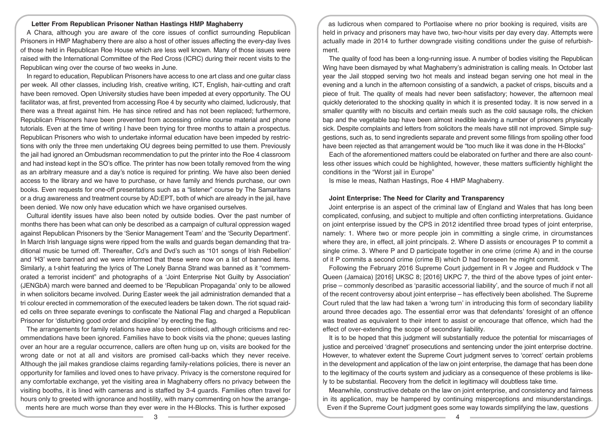### **Letter From Republican Prisoner Nathan Hastings HMP Maghaberry**

A Chara, although you are aware of the core issues of conflict surrounding Republican Prisoners in HMP Maghaberry there are also a host of other issues affecting the every-day lives of those held in Republican Roe House which are less well known. Many of those issues were raised with the International Committee of the Red Cross (ICRC) during their recent visits to the Republican wing over the course of two weeks in June.

In regard to education, Republican Prisoners have access to one art class and one guitar class per week. All other classes, including Irish, creative writing, ICT, English, hair-cutting and craft have been removed. Open University studies have been impeded at every opportunity. The OU facilitator was, at first, prevented from accessing Roe 4 by security who claimed, ludicrously, that there was a threat against him. He has since retired and has not been replaced; furthermore, Republican Prisoners have been prevented from accessing online course material and phone tutorials. Even at the time of writing I have been trying for three months to attain a prospectus. Republican Prisoners who wish to undertake informal education have been impeded by restrictions with only the three men undertaking OU degrees being permitted to use them. Previously the jail had ignored an Ombudsman recommendation to put the printer into the Roe 4 classroom and had instead kept in the SO's office. The printer has now been totally removed from the wing as an arbitrary measure and a day's notice is required for printing. We have also been denied access to the library and we have to purchase, or have family and friends purchase, our own books. Even requests for one-off presentations such as a "listener" course by The Samaritans or a drug awareness and treatment course by AD:EPT, both of which are already in the jail, have been denied. We now only have education which we have organised ourselves.

Cultural identity issues have also been noted by outside bodies. Over the past number of months there has been what can only be described as a campaign of cultural oppression waged against Republican Prisoners by the 'Senior Management Team' and the 'Security Department'. In March Irish language signs were ripped from the walls and guards began demanding that traditional music be turned off. Thereafter, Cd's and Dvd's such as '101 songs of Irish Rebellion' and 'H3' were banned and we were informed that these were now on a list of banned items. Similarly, a t-shirt featuring the lyrics of The Lonely Banna Strand was banned as it "commemorated a terrorist incident" and photographs of a 'Joint Enterprise Not Guilty by Association' (JENGbA) march were banned and deemed to be 'Republican Propaganda' only to be allowed in when solicitors became involved. During Easter week the jail administration demanded that a tri colour erected in commemoration of the executed leaders be taken down. The riot squad raided cells on three separate evenings to confiscate the National Flag and charged a Republican Prisoner for 'disturbing good order and discipline' by erecting the flag.

The arrangements for family relations have also been criticised, although criticisms and recommendations have been ignored. Families have to book visits via the phone; queues lasting over an hour are a regular occurrence, callers are often hung up on, visits are booked for the wrong date or not at all and visitors are promised call-backs which they never receive. Although the jail makes grandiose claims regarding family-relations policies, there is never an opportunity for families and loved ones to have privacy. Privacy is the cornerstone required for any comfortable exchange, yet the visiting area in Maghaberry offers no privacy between the visiting booths, it is lined with cameras and is staffed by 3-4 guards. Families often travel for hours only to greeted with ignorance and hostility, with many commenting on how the arrangements here are much worse than they ever were in the H-Blocks. This is further exposed

as ludicrous when compared to Portlaoise where no prior booking is required, visits are held in privacy and prisoners may have two, two-hour visits per day every day. Attempts were actually made in 2014 to further downgrade visiting conditions under the guise of refurbishment.

The quality of food has been a long-running issue. A number of bodies visiting the Republican Wing have been dismayed by what Maghaberry's administration is calling meals. In October last year the Jail stopped serving two hot meals and instead began serving one hot meal in the evening and a lunch in the afternoon consisting of a sandwich, a packet of crisps, biscuits and a piece of fruit. The quality of meals had never been satisfactory; however, the afternoon meal quickly deteriorated to the shocking quality in which it is presented today. It is now served in a smaller quantity with no biscuits and certain meals such as the cold sausage rolls, the chicken bap and the vegetable bap have been almost inedible leaving a number of prisoners physically sick. Despite complaints and letters from solicitors the meals have still not improved. Simple suggestions, such as, to send ingredients separate and prevent some fillings from spoiling other food have been rejected as that arrangement would be "too much like it was done in the H-Blocks"

Each of the aforementioned matters could be elaborated on further and there are also countless other issues which could be highlighted, however, these matters sufficiently highlight the conditions in the "Worst jail in Europe"

Is mise le meas, Nathan Hastings, Roe 4 HMP Maghaberry.

# **Joint Enterprise: The Need for Clarity and Transparency**

Joint enterprise is an aspect of the criminal law of England and Wales that has long been complicated, confusing, and subject to multiple and often conflicting interpretations. Guidance on joint enterprise issued by the CPS in 2012 identified three broad types of joint enterprise, namely: 1. Where two or more people join in committing a single crime, in circumstances where they are, in effect, all joint principals. 2. Where D assists or encourages P to commit a single crime. 3. Where P and D participate together in one crime (crime A) and in the course of it P commits a second crime (crime B) which D had foreseen he might commit.

Following the February 2016 Supreme Court judgement in R v Jogee and Ruddock v The Queen (Jamaica) [2016] UKSC 8; [2016] UKPC 7, the third of the above types of joint enterprise – commonly described as 'parasitic accessorial liability', and the source of much if not all of the recent controversy about joint enterprise – has effectively been abolished. The Supreme Court ruled that the law had taken a 'wrong turn' in introducing this form of secondary liability around three decades ago. The essential error was that defendants' foresight of an offence was treated as equivalent to their intent to assist or encourage that offence, which had the effect of over-extending the scope of secondary liability.

It is to be hoped that this judgment will substantially reduce the potential for miscarriages of justice and perceived 'dragnet' prosecutions and sentencing under the joint enterprise doctrine. However, to whatever extent the Supreme Court judgment serves to 'correct' certain problems in the development and application of the law on joint enterprise, the damage that has been done to the legitimacy of the courts system and judiciary as a consequence of these problems is likely to be substantial. Recovery from the deficit in legitimacy will doubtless take time.

Meanwhile, constructive debate on the law on joint enterprise, and consistency and fairness in its application, may be hampered by continuing misperceptions and misunderstandings. Even if the Supreme Court judgment goes some way towards simplifying the law, questions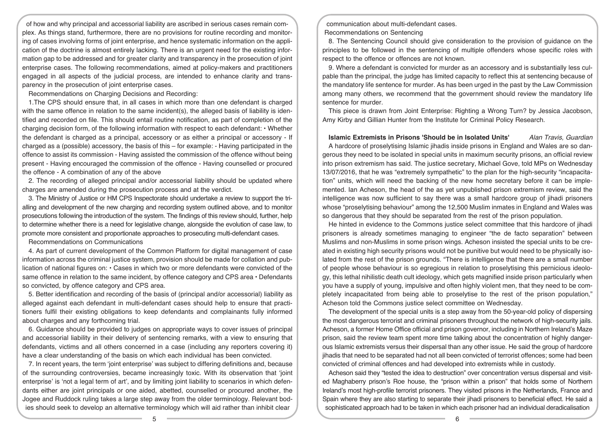of how and why principal and accessorial liability are ascribed in serious cases remain complex. As things stand, furthermore, there are no provisions for routine recording and monitoring of cases involving forms of joint enterprise, and hence systematic information on the application of the doctrine is almost entirely lacking. There is an urgent need for the existing information gap to be addressed and for greater clarity and transparency in the prosecution of joint enterprise cases. The following recommendations, aimed at policy-makers and practitioners engaged in all aspects of the judicial process, are intended to enhance clarity and transparency in the prosecution of joint enterprise cases.

Recommendations on Charging Decisions and Recording:

1.The CPS should ensure that, in all cases in which more than one defendant is charged with the same offence in relation to the same incident(s), the alleged basis of liability is identified and recorded on file. This should entail routine notification, as part of completion of the charging decision form, of the following information with respect to each defendant: • Whether the defendant is charged as a principal, accessory or as either a principal or accessory - If charged as a (possible) accessory, the basis of this – for example: - Having participated in the offence to assist its commission - Having assisted the commission of the offence without being present - Having encouraged the commission of the offence - Having counselled or procured the offence - A combination of any of the above

2. The recording of alleged principal and/or accessorial liability should be updated where charges are amended during the prosecution process and at the verdict.

3. The Ministry of Justice or HM CPS Inspectorate should undertake a review to support the trialling and development of the new charging and recording system outlined above, and to monitor prosecutions following the introduction of the system. The findings of this review should, further, help to determine whether there is a need for legislative change, alongside the evolution of case law, to promote more consistent and proportionate approaches to prosecuting multi-defendant cases.

Recommendations on Communications

4. As part of current development of the Common Platform for digital management of case information across the criminal justice system, provision should be made for collation and publication of national figures on: • Cases in which two or more defendants were convicted of the same offence in relation to the same incident, by offence category and CPS area • Defendants so convicted, by offence category and CPS area.

5. Better identification and recording of the basis of (principal and/or accessorial) liability as alleged against each defendant in multi-defendant cases should help to ensure that practitioners fulfil their existing obligations to keep defendants and complainants fully informed about charges and any forthcoming trial.

6. Guidance should be provided to judges on appropriate ways to cover issues of principal and accessorial liability in their delivery of sentencing remarks, with a view to ensuring that defendants, victims and all others concerned in a case (including any reporters covering it) have a clear understanding of the basis on which each individual has been convicted.

7. In recent years, the term 'joint enterprise' was subject to differing definitions and, because of the surrounding controversies, became increasingly toxic. With its observation that 'joint enterprise' is 'not a legal term of art', and by limiting joint liability to scenarios in which defendants either are joint principals or one aided, abetted, counselled or procured another, the Jogee and Ruddock ruling takes a large step away from the older terminology. Relevant bodies should seek to develop an alternative terminology which will aid rather than inhibit clear

communication about multi-defendant cases.

Recommendations on Sentencing

8. The Sentencing Council should give consideration to the provision of guidance on the principles to be followed in the sentencing of multiple offenders whose specific roles with respect to the offence or offences are not known.

9. Where a defendant is convicted for murder as an accessory and is substantially less culpable than the principal, the judge has limited capacity to reflect this at sentencing because of the mandatory life sentence for murder. As has been urged in the past by the Law Commission among many others, we recommend that the government should review the mandatory life sentence for murder.

This piece is drawn from Joint Enterprise: Righting a Wrong Turn? by Jessica Jacobson, Amy Kirby and Gillian Hunter from the Institute for Criminal Policy Research.

**Islamic Extremists in Prisons 'Should be in Isolated Units'** *Alan Travis, Guardian* A hardcore of proselytising Islamic jihadis inside prisons in England and Wales are so dangerous they need to be isolated in special units in maximum security prisons, an official review into prison extremism has said. The justice secretary, Michael Gove, told MPs on Wednesday 13/07/2016, that he was "extremely sympathetic" to the plan for the high-security "incapacitation" units, which will need the backing of the new home secretary before it can be implemented. Ian Acheson, the head of the as yet unpublished prison extremism review, said the intelligence was now sufficient to say there was a small hardcore group of jihadi prisoners whose "proselytising behaviour" among the 12,500 Muslim inmates in England and Wales was so dangerous that they should be separated from the rest of the prison population.

He hinted in evidence to the Commons justice select committee that this hardcore of jihadi prisoners is already sometimes managing to engineer "the de facto separation" between Muslims and non-Muslims in some prison wings. Acheson insisted the special units to be created in existing high security prisons would not be punitive but would need to be physically isolated from the rest of the prison grounds. "There is intelligence that there are a small number of people whose behaviour is so egregious in relation to proselytising this pernicious ideology, this lethal nihilistic death cult ideology, which gets magnified inside prison particularly when you have a supply of young, impulsive and often highly violent men, that they need to be completely incapacitated from being able to proselytise to the rest of the prison population," Acheson told the Commons justice select committee on Wednesday.

The development of the special units is a step away from the 50-year-old policy of dispersing the most dangerous terrorist and criminal prisoners throughout the network of high-security jails. Acheson, a former Home Office official and prison governor, including in Northern Ireland's Maze prison, said the review team spent more time talking about the concentration of highly dangerous Islamic extremists versus their dispersal than any other issue. He said the group of hardcore jihadis that need to be separated had not all been convicted of terrorist offences; some had been convicted of criminal offences and had developed into extremists while in custody.

Acheson said they "tested the idea to destruction" over concentration versus dispersal and visited Maghaberry prison's Roe house, the "prison within a prison" that holds some of Northern Ireland's most high-profile terrorist prisoners. They visited prisons in the Netherlands, France and Spain where they are also starting to separate their jihadi prisoners to beneficial effect. He said a sophisticated approach had to be taken in which each prisoner had an individual deradicalisation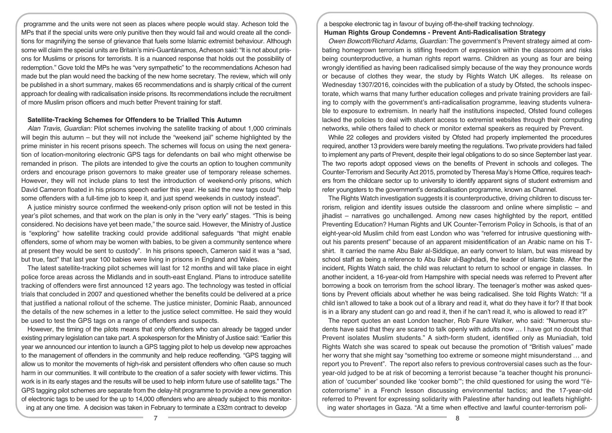programme and the units were not seen as places where people would stay. Acheson told the MPs that if the special units were only punitive then they would fail and would create all the conditions for magnifying the sense of grievance that fuels some Islamic extremist behaviour. Although some will claim the special units are Britain's mini-Guantánamos, Acheson said: "It is not about prisons for Muslims or prisons for terrorists. It is a nuanced response that holds out the possibility of redemption." Gove told the MPs he was "very sympathetic" to the recommendations Acheson had made but the plan would need the backing of the new home secretary. The review, which will only be published in a short summary, makes 65 recommendations and is sharply critical of the current approach for dealing with radicalisation inside prisons. Its recommendations include the recruitment of more Muslim prison officers and much better Prevent training for staff.

#### **Satellite-Tracking Schemes for Offenders to be Trialled This Autumn**

*Alan Travis, Guardian:* Pilot schemes involving the satellite tracking of about 1,000 criminals will begin this autumn – but they will not include the "weekend jail" scheme highlighted by the prime minister in his recent prisons speech. The schemes will focus on using the next generation of location-monitoring electronic GPS tags for defendants on bail who might otherwise be remanded in prison. The pilots are intended to give the courts an option to toughen community orders and encourage prison governors to make greater use of temporary release schemes. However, they will not include plans to test the introduction of weekend-only prisons, which David Cameron floated in his prisons speech earlier this year. He said the new tags could "help some offenders with a full-time job to keep it, and just spend weekends in custody instead".

A justice ministry source confirmed the weekend-only prison option will not be tested in this year's pilot schemes, and that work on the plan is only in the "very early" stages. "This is being considered. No decisions have yet been made," the source said. However, the Ministry of Justice is "exploring" how satellite tracking could provide additional safeguards "that might enable offenders, some of whom may be women with babies, to be given a community sentence where at present they would be sent to custody". In his prisons speech, Cameron said it was a "sad, but true, fact" that last year 100 babies were living in prisons in England and Wales.

The latest satellite-tracking pilot schemes will last for 12 months and will take place in eight police force areas across the Midlands and in south-east England. Plans to introduce satellite tracking of offenders were first announced 12 years ago. The technology was tested in official trials that concluded in 2007 and questioned whether the benefits could be delivered at a price that justified a national rollout of the scheme. The justice minister, Dominic Raab, announced the details of the new schemes in a letter to the justice select committee. He said they would be used to test the GPS tags on a range of offenders and suspects.

However, the timing of the pilots means that only offenders who can already be tagged under existing primary legislation can take part. A spokesperson for the Ministry of Justice said: "Earlier this year we announced our intention to launch a GPS tagging pilot to help us develop new approaches to the management of offenders in the community and help reduce reoffending. "GPS tagging will allow us to monitor the movements of high-risk and persistent offenders who often cause so much harm in our communities. It will contribute to the creation of a safer society with fewer victims. This work is in its early stages and the results will be used to help inform future use of satellite tags." The GPS tagging pilot schemes are separate from the delay-hit programme to provide a new generation of electronic tags to be used for the up to 14,000 offenders who are already subject to this monitoring at any one time. A decision was taken in February to terminate a £32m contract to develop

# a bespoke electronic tag in favour of buying off-the-shelf tracking technology. **Human Rights Group Condemns - Prevent Anti-Radicalisation Strategy**

*Owen Bowcott/Richard Adams, Guardian:* The government's Prevent strategy aimed at combating homegrown terrorism is stifling freedom of expression within the classroom and risks being counterproductive, a human rights report warns. Children as young as four are being wrongly identified as having been radicalised simply because of the way they pronounce words or because of clothes they wear, the study by Rights Watch UK alleges. Its release on Wednesday 1307/2016, coincides with the publication of a study by Ofsted, the schools inspectorate, which warns that many further education colleges and private training providers are failing to comply with the government's anti-radicalisation programme, leaving students vulnerable to exposure to extremism. In nearly half the institutions inspected, Ofsted found colleges lacked the policies to deal with student access to extremist websites through their computing networks, while others failed to check or monitor external speakers as required by Prevent.

While 22 colleges and providers visited by Ofsted had properly implemented the procedures required, another 13 providers were barely meeting the regulations. Two private providers had failed to implement any parts of Prevent, despite their legal obligations to do so since September last year. The two reports adopt opposed views on the benefits of Prevent in schools and colleges. The Counter-Terrorism and Security Act 2015, promoted by Theresa May's Home Office, requires teachers from the childcare sector up to university to identify apparent signs of student extremism and refer youngsters to the government's deradicalisation programme, known as Channel.

The Rights Watch investigation suggests it is counterproductive, driving children to discuss terrorism, religion and identity issues outside the classroom and online where simplistic – and jihadist – narratives go unchallenged. Among new cases highlighted by the report, entitled Preventing Education? Human Rights and UK Counter-Terrorism Policy in Schools, is that of an eight-year-old Muslim child from east London who was "referred for intrusive questioning without his parents present" because of an apparent misidentification of an Arabic name on his Tshirt. It carried the name Abu Bakr al-Siddique, an early convert to Islam, but was misread by school staff as being a reference to Abu Bakr al-Baghdadi, the leader of Islamic State. After the incident, Rights Watch said, the child was reluctant to return to school or engage in classes. In another incident, a 16-year-old from Hampshire with special needs was referred to Prevent after borrowing a book on terrorism from the school library. The teenager's mother was asked questions by Prevent officials about whether he was being radicalised. She told Rights Watch: "If a child isn't allowed to take a book out of a library and read it, what do they have it for? If that book is in a library any student can go and read it, then if he can't read it, who is allowed to read it?"

The report quotes an east London teacher, Rob Faure Walker, who said: "Numerous students have said that they are scared to talk openly with adults now … I have got no doubt that Prevent isolates Muslim students." A sixth-form student, identified only as Muniadiah, told Rights Watch she was scared to speak out because the promotion of "British values" made her worry that she might say "something too extreme or someone might misunderstand … and report you to Prevent". The report also refers to previous controversial cases such as the fouryear-old judged to be at risk of becoming a terrorist because "a teacher thought his pronunciation of 'cucumber' sounded like 'cooker bomb'"; the child questioned for using the word "l'écoterrorisme" in a French lesson discussing environmental tactics; and the 17-year-old referred to Prevent for expressing solidarity with Palestine after handing out leaflets highlighting water shortages in Gaza. "At a time when effective and lawful counter-terrorism poli-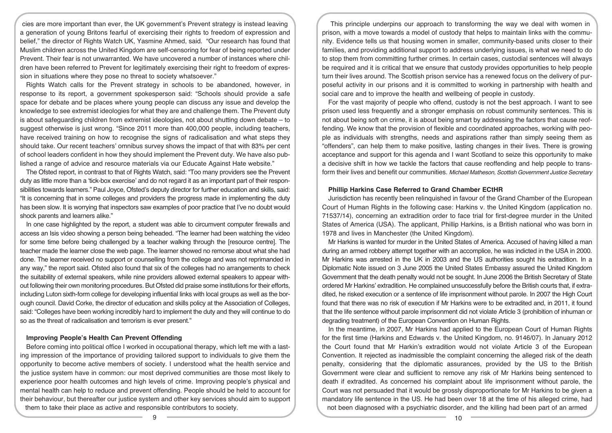cies are more important than ever, the UK government's Prevent strategy is instead leaving a generation of young Britons fearful of exercising their rights to freedom of expression and belief," the director of Rights Watch UK, Yasmine Ahmed, said. "Our research has found that Muslim children across the United Kingdom are self-censoring for fear of being reported under Prevent. Their fear is not unwarranted. We have uncovered a number of instances where children have been referred to Prevent for legitimately exercising their right to freedom of expression in situations where they pose no threat to society whatsoever."

Rights Watch calls for the Prevent strategy in schools to be abandoned, however, in response to its report, a government spokesperson said: "Schools should provide a safe space for debate and be places where young people can discuss any issue and develop the knowledge to see extremist ideologies for what they are and challenge them. The Prevent duty is about safeguarding children from extremist ideologies, not about shutting down debate – to suggest otherwise is just wrong. "Since 2011 more than 400,000 people, including teachers, have received training on how to recognise the signs of radicalisation and what steps they should take. Our recent teachers' omnibus survey shows the impact of that with 83% per cent of school leaders confident in how they should implement the Prevent duty. We have also published a range of advice and resource materials via our Educate Against Hate website."

The Ofsted report, in contrast to that of Rights Watch, said: "Too many providers see the Prevent duty as little more than a 'tick-box exercise' and do not regard it as an important part of their responsibilities towards learners." Paul Joyce, Ofsted's deputy director for further education and skills, said: "It is concerning that in some colleges and providers the progress made in implementing the duty has been slow. It is worrying that inspectors saw examples of poor practice that I've no doubt would shock parents and learners alike."

In one case highlighted by the report, a student was able to circumvent computer firewalls and access an Isis video showing a person being beheaded. "The learner had been watching the video for some time before being challenged by a teacher walking through the [resource centre]. The teacher made the learner close the web page. The learner showed no remorse about what she had done. The learner received no support or counselling from the college and was not reprimanded in any way," the report said. Ofsted also found that six of the colleges had no arrangements to check the suitability of external speakers, while nine providers allowed external speakers to appear without following their own monitoring procedures. But Ofsted did praise some institutions for their efforts, including Luton sixth-form college for developing influential links with local groups as well as the borough council. David Corke, the director of education and skills policy at the Association of Colleges, said: "Colleges have been working incredibly hard to implement the duty and they will continue to do so as the threat of radicalisation and terrorism is ever present."

#### **Improving People's Health Can Prevent Offending**

Before coming into political office I worked in occupational therapy, which left me with a lasting impression of the importance of providing tailored support to individuals to give them the opportunity to become active members of society. I understood what the health service and the justice system have in common: our most deprived communities are those most likely to experience poor health outcomes and high levels of crime. Improving people's physical and mental health can help to reduce and prevent offending. People should be held to account for their behaviour, but thereafter our justice system and other key services should aim to support them to take their place as active and responsible contributors to society.

This principle underpins our approach to transforming the way we deal with women in prison, with a move towards a model of custody that helps to maintain links with the community. Evidence tells us that housing women in smaller, community-based units closer to their families, and providing additional support to address underlying issues, is what we need to do to stop them from committing further crimes. In certain cases, custodial sentences will always be required and it is critical that we ensure that custody provides opportunities to help people turn their lives around. The Scottish prison service has a renewed focus on the delivery of purposeful activity in our prisons and it is committed to working in partnership with health and social care and to improve the health and wellbeing of people in custody.

For the vast majority of people who offend, custody is not the best approach. I want to see prison used less frequently and a stronger emphasis on robust community sentences. This is not about being soft on crime, it is about being smart by addressing the factors that cause reoffending. We know that the provision of flexible and coordinated approaches, working with people as individuals with strengths, needs and aspirations rather than simply seeing them as "offenders", can help them to make positive, lasting changes in their lives. There is growing acceptance and support for this agenda and I want Scotland to seize this opportunity to make a decisive shift in how we tackle the factors that cause reoffending and help people to transform their lives and benefit our communities. *Michael Matheson, Scottish Government Justice Secretary*

# **Phillip Harkins Case Referred to Grand Chamber ECtHR**

Jurisdiction has recently been relinquished in favour of the Grand Chamber of the European Court of Human Rights in the following case: Harkins v. the United Kingdom (application no. 71537/14), concerning an extradition order to face trial for first-degree murder in the United States of America (USA). The applicant, Phillip Harkins, is a British national who was born in 1978 and lives in Manchester (the United Kingdom).

Mr Harkins is wanted for murder in the United States of America. Accused of having killed a man during an armed robbery attempt together with an accomplice, he was indicted in the USA in 2000. Mr Harkins was arrested in the UK in 2003 and the US authorities sought his extradition. In a Diplomatic Note issued on 3 June 2005 the United States Embassy assured the United Kingdom Government that the death penalty would not be sought. In June 2006 the British Secretary of State ordered Mr Harkins' extradition. He complained unsuccessfully before the British courts that, if extradited, he risked execution or a sentence of life imprisonment without parole. In 2007 the High Court found that there was no risk of execution if Mr Harkins were to be extradited and, in 2011, it found that the life sentence without parole imprisonment did not violate Article 3 (prohibition of inhuman or degrading treatment) of the European Convention on Human Rights.

In the meantime, in 2007, Mr Harkins had applied to the European Court of Human Rights for the first time (Harkins and Edwards v. the United Kingdom, no. 9146/07). In January 2012 the Court found that Mr Harkin's extradition would not violate Article 3 of the European Convention. It rejected as inadmissible the complaint concerning the alleged risk of the death penalty, considering that the diplomatic assurances, provided by the US to the British Government were clear and sufficient to remove any risk of Mr Harkins being sentenced to death if extradited. As concerned his complaint about life imprisonment without parole, the Court was not persuaded that it would be grossly disproportionate for Mr Harkins to be given a mandatory life sentence in the US. He had been over 18 at the time of his alleged crime, had not been diagnosed with a psychiatric disorder, and the killing had been part of an armed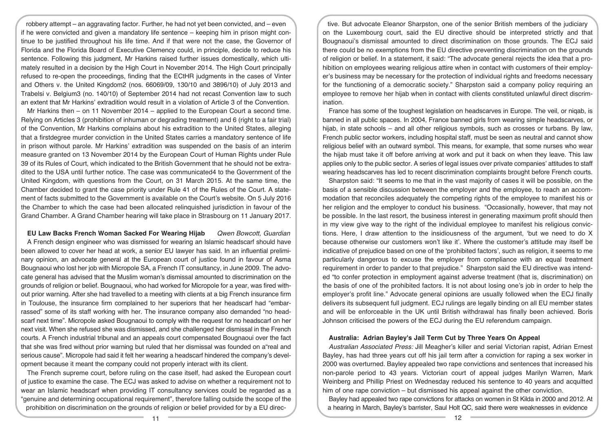robbery attempt – an aggravating factor. Further, he had not yet been convicted, and – even if he were convicted and given a mandatory life sentence – keeping him in prison might continue to be justified throughout his life time. And if that were not the case, the Governor of Florida and the Florida Board of Executive Clemency could, in principle, decide to reduce his sentence. Following this judgment, Mr Harkins raised further issues domestically, which ultimately resulted in a decision by the High Court in November 2014. The High Court principally refused to re-open the proceedings, finding that the ECtHR judgments in the cases of Vinter and Others v. the United Kingdom2 (nos. 66069/09, 130/10 and 3896/10) of July 2013 and Trabelsi v. Belgium3 (no. 140/10) of September 2014 had not recast Convention law to such an extent that Mr Harkins' extradition would result in a violation of Article 3 of the Convention.

Mr Harkins then – on 11 November 2014 – applied to the European Court a second time. Relying on Articles 3 (prohibition of inhuman or degrading treatment) and 6 (right to a fair trial) of the Convention, Mr Harkins complains about his extradition to the United States, alleging that a firstdegree murder conviction in the United States carries a mandatory sentence of life in prison without parole. Mr Harkins' extradition was suspended on the basis of an interim measure granted on 13 November 2014 by the European Court of Human Rights under Rule 39 of its Rules of Court, which indicated to the British Government that he should not be extradited to the USA until further notice. The case was communicated4 to the Government of the United Kingdom, with questions from the Court, on 31 March 2015. At the same time, the Chamber decided to grant the case priority under Rule 41 of the Rules of the Court. A statement of facts submitted to the Government is available on the Court's website. On 5 July 2016 the Chamber to which the case had been allocated relinquished jurisdiction in favour of the Grand Chamber. A Grand Chamber hearing will take place in Strasbourg on 11 January 2017.

**EU Law Backs French Woman Sacked For Wearing Hijab** *Qwen Bowcott, Guardian* A French design engineer who was dismissed for wearing an Islamic headscarf should have been allowed to cover her head at work, a senior EU lawyer has said. In an influential preliminary opinion, an advocate general at the European court of justice found in favour of Asma Bougnaoui who lost her job with Micropole SA, a French IT consultancy, in June 2009. The advocate general has advised that the Muslim woman's dismissal amounted to discrimination on the grounds of religion or belief. Bougnaoui, who had worked for Micropole for a year, was fired without prior warning. After she had travelled to a meeting with clients at a big French insurance firm in Toulouse, the insurance firm complained to her superiors that her headscarf had "embarrassed" some of its staff working with her. The insurance company also demanded "no headscarf next time". Micropole asked Bougnaoui to comply with the request for no headscarf on her next visit. When she refused she was dismissed, and she challenged her dismissal in the French courts. A French industrial tribunal and an appeals court compensated Bougnaoui over the fact that she was fired without prior warning but ruled that her dismissal was founded on a"real and serious cause". Micropole had said it felt her wearing a headscarf hindered the company's development because it meant the company could not properly interact with its client.

The French supreme court, before ruling on the case itself, had asked the European court of justice to examine the case. The ECJ was asked to advise on whether a requirement not to wear an Islamic headscarf when providing IT consultancy services could be regarded as a "genuine and determining occupational requirement", therefore falling outside the scope of the prohibition on discrimination on the grounds of religion or belief provided for by a EU direc-

tive. But advocate Eleanor Sharpston, one of the senior British members of the judiciary on the Luxembourg court, said the EU directive should be interpreted strictly and that Bougnaoui's dismissal amounted to direct discrimination on those grounds. The ECJ said there could be no exemptions from the EU directive preventing discrimination on the grounds of religion or belief. In a statement, it said: "The advocate general rejects the idea that a prohibition on employees wearing religious attire when in contact with customers of their employer's business may be necessary for the protection of individual rights and freedoms necessary for the functioning of a democratic society." Sharpston said a company policy requiring an employee to remove her hijab when in contact with clients constituted unlawful direct discrimination.

France has some of the toughest legislation on headscarves in Europe. The veil, or niqab, is banned in all public spaces. In 2004, France banned girls from wearing simple headscarves, or hijab, in state schools – and all other religious symbols, such as crosses or turbans. By law, French public sector workers, including hospital staff, must be seen as neutral and cannot show religious belief with an outward symbol. This means, for example, that some nurses who wear the hijab must take it off before arriving at work and put it back on when they leave. This law applies only to the public sector. A series of legal issues over private companies' attitudes to staff wearing headscarves has led to recent discrimination complaints brought before French courts.

Sharpston said: "It seems to me that in the vast majority of cases it will be possible, on the basis of a sensible discussion between the employer and the employee, to reach an accommodation that reconciles adequately the competing rights of the employee to manifest his or her religion and the employer to conduct his business. "Occasionally, however, that may not be possible. In the last resort, the business interest in generating maximum profit should then in my view give way to the right of the individual employee to manifest his religious convictions. Here, I draw attention to the insidiousness of the argument, 'but we need to do X because otherwise our customers won't like it'. Where the customer's attitude may itself be indicative of prejudice based on one of the 'prohibited factors', such as religion, it seems to me particularly dangerous to excuse the employer from compliance with an equal treatment requirement in order to pander to that prejudice." Sharpston said the EU directive was intended "to confer protection in employment against adverse treatment (that is, discrimination) on the basis of one of the prohibited factors. It is not about losing one's job in order to help the employer's profit line." Advocate general opinions are usually followed when the ECJ finally delivers its subsequent full judgment. ECJ rulings are legally binding on all EU member states and will be enforceable in the UK until British withdrawal has finally been achieved. Boris Johnson criticised the powers of the ECJ during the EU referendum campaign.

### **Australia: Adrian Bayley's Jail Term Cut by Three Years On Appeal**

*Australian Associated Press:* Jill Meagher's killer and serial Victorian rapist, Adrian Ernest Bayley, has had three years cut off his jail term after a conviction for raping a sex worker in 2000 was overturned. Bayley appealed two rape convictions and sentences that increased his non-parole period to 43 years. Victorian court of appeal judges Marilyn Warren, Mark Weinberg and Phillip Priest on Wednesday reduced his sentence to 40 years and acquitted him of one rape conviction – but dismissed his appeal against the other conviction.

Bayley had appealed two rape convictions for attacks on women in St Kilda in 2000 and 2012. At a hearing in March, Bayley's barrister, Saul Holt QC, said there were weaknesses in evidence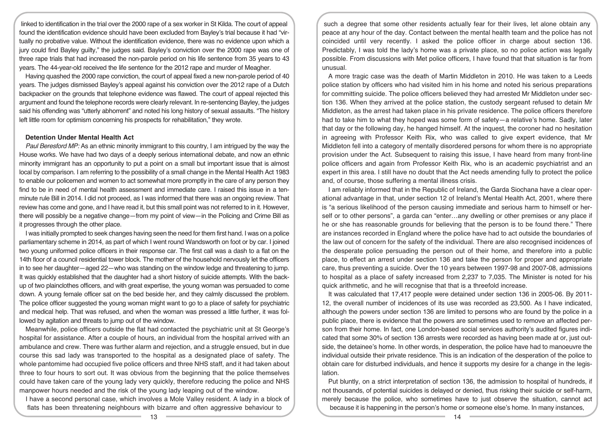linked to identification in the trial over the 2000 rape of a sex worker in St Kilda. The court of appeal found the identification evidence should have been excluded from Bayley's trial because it had "virtually no probative value. Without the identification evidence, there was no evidence upon which a jury could find Bayley guilty," the judges said. Bayley's conviction over the 2000 rape was one of three rape trials that had increased the non-parole period on his life sentence from 35 years to 43 years. The 44-year-old received the life sentence for the 2012 rape and murder of Meagher.

Having quashed the 2000 rape conviction, the court of appeal fixed a new non-parole period of 40 years. The judges dismissed Bayley's appeal against his conviction over the 2012 rape of a Dutch backpacker on the grounds that telephone evidence was flawed. The court of appeal rejected this argument and found the telephone records were clearly relevant. In re-sentencing Bayley, the judges said his offending was "utterly abhorrent" and noted his long history of sexual assaults. "The history left little room for optimism concerning his prospects for rehabilitation," they wrote.

## **Detention Under Mental Health Act**

*Paul Beresford MP:* As an ethnic minority immigrant to this country, I am intrigued by the way the House works. We have had two days of a deeply serious international debate, and now an ethnic minority immigrant has an opportunity to put a point on a small but important issue that is almost local by comparison. I am referring to the possibility of a small change in the Mental Health Act 1983 to enable our policemen and women to act somewhat more promptly in the care of any person they find to be in need of mental health assessment and immediate care. I raised this issue in a tenminute rule Bill in 2014. I did not proceed, as I was informed that there was an ongoing review. That review has come and gone, and I have read it, but this small point was not referred to in it. However, there will possibly be a negative change—from my point of view—in the Policing and Crime Bill as it progresses through the other place.

I was initially prompted to seek changes having seen the need for them first hand. I was on a police parliamentary scheme in 2014, as part of which I went round Wandsworth on foot or by car. I joined two young uniformed police officers in their response car. The first call was a dash to a flat on the 14th floor of a council residential tower block. The mother of the household nervously let the officers in to see her daughter—aged 22—who was standing on the window ledge and threatening to jump. It was quickly established that the daughter had a short history of suicide attempts. With the backup of two plainclothes officers, and with great expertise, the young woman was persuaded to come down. A young female officer sat on the bed beside her, and they calmly discussed the problem. The police officer suggested the young woman might want to go to a place of safety for psychiatric and medical help. That was refused, and when the woman was pressed a little further, it was followed by agitation and threats to jump out of the window.

Meanwhile, police officers outside the flat had contacted the psychiatric unit at St George's hospital for assistance. After a couple of hours, an individual from the hospital arrived with an ambulance and crew. There was further alarm and rejection, and a struggle ensued, but in due course this sad lady was transported to the hospital as a designated place of safety. The whole pantomime had occupied five police officers and three NHS staff, and it had taken about three to four hours to sort out. It was obvious from the beginning that the police themselves could have taken care of the young lady very quickly, therefore reducing the police and NHS manpower hours needed and the risk of the young lady leaping out of the window.

I have a second personal case, which involves a Mole Valley resident. A lady in a block of flats has been threatening neighbours with bizarre and often aggressive behaviour to

such a degree that some other residents actually fear for their lives, let alone obtain any peace at any hour of the day. Contact between the mental health team and the police has not coincided until very recently. I asked the police officer in charge about section 136. Predictably, I was told the lady's home was a private place, so no police action was legally possible. From discussions with Met police officers, I have found that that situation is far from unusual.

A more tragic case was the death of Martin Middleton in 2010. He was taken to a Leeds police station by officers who had visited him in his home and noted his serious preparations for committing suicide. The police officers believed they had arrested Mr Middleton under section 136. When they arrived at the police station, the custody sergeant refused to detain Mr Middleton, as the arrest had taken place in his private residence. The police officers therefore had to take him to what they hoped was some form of safety—a relative's home. Sadly, later that day or the following day, he hanged himself. At the inquest, the coroner had no hesitation in agreeing with Professor Keith Rix, who was called to give expert evidence, that Mr Middleton fell into a category of mentally disordered persons for whom there is no appropriate provision under the Act. Subsequent to raising this issue, I have heard from many front-line police officers and again from Professor Keith Rix, who is an academic psychiatrist and an expert in this area. I still have no doubt that the Act needs amending fully to protect the police and, of course, those suffering a mental illness crisis.

I am reliably informed that in the Republic of Ireland, the Garda Siochana have a clear operational advantage in that, under section 12 of Ireland's Mental Health Act, 2001, where there is "a serious likelihood of the person causing immediate and serious harm to himself or herself or to other persons", a garda can "enter…any dwelling or other premises or any place if he or she has reasonable grounds for believing that the person is to be found there." There are instances recorded in England where the police have had to act outside the boundaries of the law out of concern for the safety of the individual. There are also recognised incidences of the desperate police persuading the person out of their home, and therefore into a public place, to effect an arrest under section 136 and take the person for proper and appropriate care, thus preventing a suicide. Over the 10 years between 1997-98 and 2007-08, admissions to hospital as a place of safety increased from 2,237 to 7,035. The Minister is noted for his quick arithmetic, and he will recognise that that is a threefold increase.

It was calculated that 17,417 people were detained under section 136 in 2005-06. By 2011- 12, the overall number of incidences of its use was recorded as 23,500. As I have indicated, although the powers under section 136 are limited to persons who are found by the police in a public place, there is evidence that the powers are sometimes used to remove an affected person from their home. In fact, one London-based social services authority's audited figures indicated that some 30% of section 136 arrests were recorded as having been made at or, just outside, the detainee's home. In other words, in desperation, the police have had to manoeuvre the individual outside their private residence. This is an indication of the desperation of the police to obtain care for disturbed individuals, and hence it supports my desire for a change in the legislation.

Put bluntly, on a strict interpretation of section 136, the admission to hospital of hundreds, if not thousands, of potential suicides is delayed or denied, thus risking their suicide or self-harm, merely because the police, who sometimes have to just observe the situation, cannot act because it is happening in the person's home or someone else's home. In many instances,